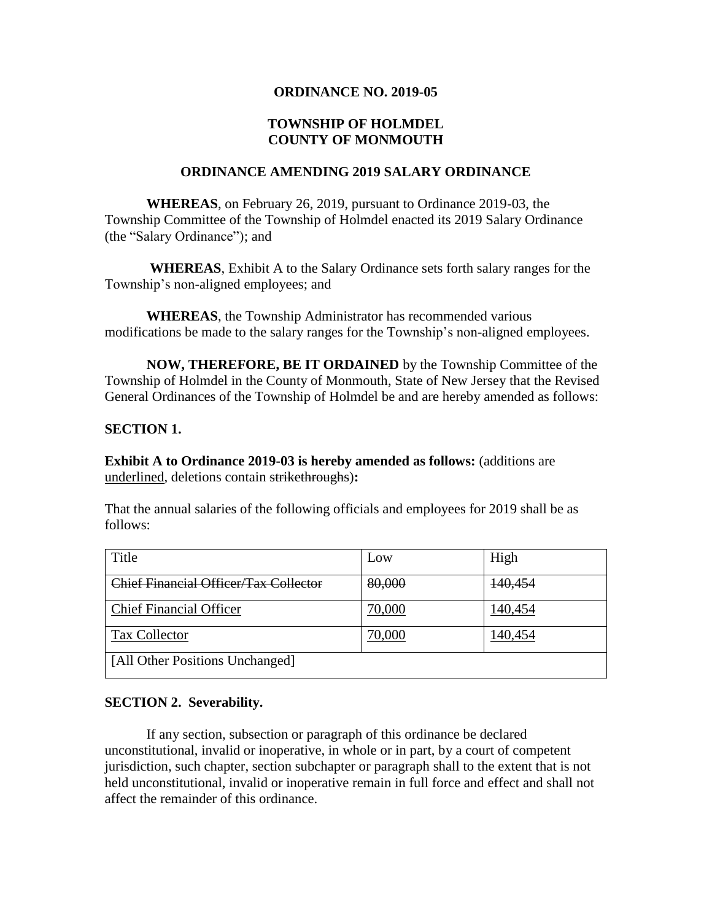#### **ORDINANCE NO. 2019-05**

# **TOWNSHIP OF HOLMDEL COUNTY OF MONMOUTH**

# **ORDINANCE AMENDING 2019 SALARY ORDINANCE**

**WHEREAS**, on February 26, 2019, pursuant to Ordinance 2019-03, the Township Committee of the Township of Holmdel enacted its 2019 Salary Ordinance (the "Salary Ordinance"); and

**WHEREAS**, Exhibit A to the Salary Ordinance sets forth salary ranges for the Township's non-aligned employees; and

**WHEREAS**, the Township Administrator has recommended various modifications be made to the salary ranges for the Township's non-aligned employees.

**NOW, THEREFORE, BE IT ORDAINED** by the Township Committee of the Township of Holmdel in the County of Monmouth, State of New Jersey that the Revised General Ordinances of the Township of Holmdel be and are hereby amended as follows:

#### **SECTION 1.**

**Exhibit A to Ordinance 2019-03 is hereby amended as follows:** (additions are underlined, deletions contain strikethroughs)**:**

That the annual salaries of the following officials and employees for 2019 shall be as follows:

| Title                                 | Low    | High    |
|---------------------------------------|--------|---------|
| Chief Financial Officer/Tax Collector | 80,000 | 140,454 |
| <b>Chief Financial Officer</b>        | 70,000 | 140,454 |
| Tax Collector                         | 70,000 | 140,454 |
| [All Other Positions Unchanged]       |        |         |

## **SECTION 2. Severability.**

If any section, subsection or paragraph of this ordinance be declared unconstitutional, invalid or inoperative, in whole or in part, by a court of competent jurisdiction, such chapter, section subchapter or paragraph shall to the extent that is not held unconstitutional, invalid or inoperative remain in full force and effect and shall not affect the remainder of this ordinance.